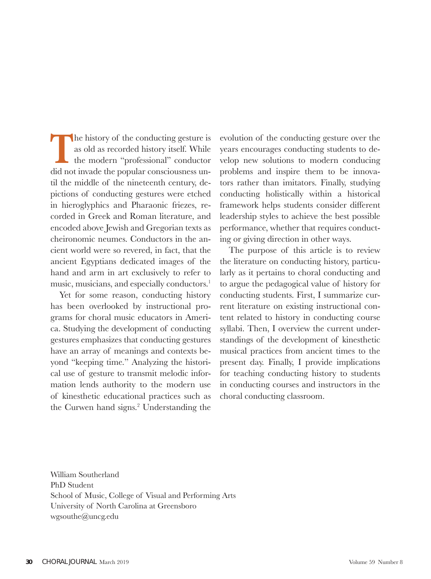The history of the conducting gesture is<br>as old as recorded history itself. While<br>the modern "professional" conductor<br>did not invade the popular consciousness unas old as recorded history itself. While the modern "professional" conductor did not invade the popular consciousness until the middle of the nineteenth century, depictions of conducting gestures were etched in hieroglyphics and Pharaonic friezes, recorded in Greek and Roman literature, and encoded above Jewish and Gregorian texts as cheironomic neumes. Conductors in the ancient world were so revered, in fact, that the ancient Egyptians dedicated images of the hand and arm in art exclusively to refer to music, musicians, and especially conductors.<sup>1</sup>

Yet for some reason, conducting history has been overlooked by instructional programs for choral music educators in America. Studying the development of conducting gestures emphasizes that conducting gestures have an array of meanings and contexts beyond "keeping time." Analyzing the historical use of gesture to transmit melodic information lends authority to the modern use of kinesthetic educational practices such as the Curwen hand signs.<sup>2</sup> Understanding the evolution of the conducting gesture over the years encourages conducting students to develop new solutions to modern conducing problems and inspire them to be innovators rather than imitators. Finally, studying conducting holistically within a historical framework helps students consider different leadership styles to achieve the best possible performance, whether that requires conducting or giving direction in other ways.

The purpose of this article is to review the literature on conducting history, particularly as it pertains to choral conducting and to argue the pedagogical value of history for conducting students. First, I summarize current literature on existing instructional content related to history in conducting course syllabi. Then, I overview the current understandings of the development of kinesthetic musical practices from ancient times to the present day. Finally, I provide implications for teaching conducting history to students in conducting courses and instructors in the choral conducting classroom.

William Southerland PhD Student School of Music, College of Visual and Performing Arts University of North Carolina at Greensboro wgsouthe@uncg.edu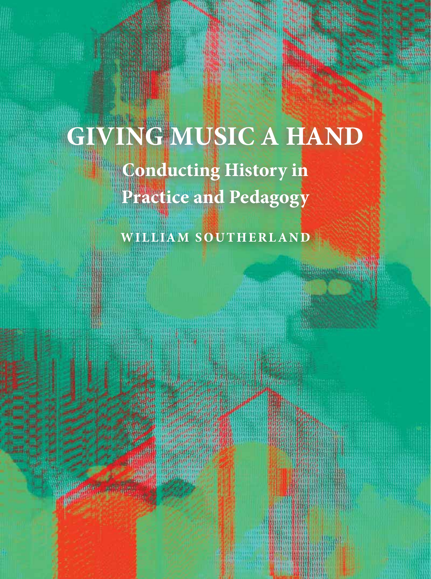# **GIVING MUSIC A HAND Conducting History in Practice and Pedagogy**

**WILLIAM SOUTHERLAND**

**Minguan Alli**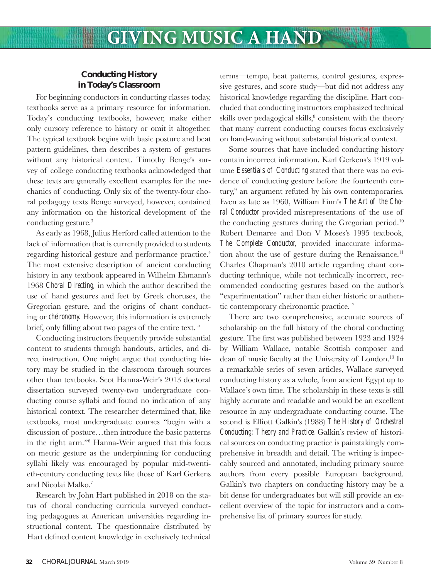### **Conducting History in Today's Classroom**

For beginning conductors in conducting classes today, textbooks serve as a primary resource for information. Today's conducting textbooks, however, make either only cursory reference to history or omit it altogether. The typical textbook begins with basic posture and beat pattern guidelines, then describes a system of gestures without any historical context. Timothy Benge's survey of college conducting textbooks acknowledged that these texts are generally excellent examples for the mechanics of conducting. Only six of the twenty-four choral pedagogy texts Benge surveyed, however, contained any information on the historical development of the conducting gesture.3

As early as 1968, Julius Herford called attention to the lack of information that is currently provided to students regarding historical gesture and performance practice.<sup>4</sup> The most extensive description of ancient conducting history in any textbook appeared in Wilhelm Ehmann's 1968 *Choral Directing,* in which the author described the use of hand gestures and feet by Greek choruses, the Gregorian gesture, and the origins of chant conducting or *cheironomy.* However, this information is extremely brief, only filling about two pages of the entire text.  $5$ 

Conducting instructors frequently provide substantial content to students through handouts, articles, and direct instruction. One might argue that conducting history may be studied in the classroom through sources other than textbooks. Scot Hanna-Weir's 2013 doctoral dissertation surveyed twenty-two undergraduate conducting course syllabi and found no indication of any historical context. The researcher determined that, like textbooks, most undergraduate courses "begin with a discussion of posture…then introduce the basic patterns in the right arm."6 Hanna-Weir argued that this focus on metric gesture as the underpinning for conducting syllabi likely was encouraged by popular mid-twentieth-century conducting texts like those of Karl Gerkens and Nicolai Malko.7

Research by John Hart published in 2018 on the status of choral conducting curricula surveyed conducting pedagogues at American universities regarding instructional content. The questionnaire distributed by Hart defined content knowledge in exclusively technical terms—tempo, beat patterns, control gestures, expressive gestures, and score study—but did not address any historical knowledge regarding the discipline. Hart concluded that conducting instructors emphasized technical skills over pedagogical skills,<sup>8</sup> consistent with the theory that many current conducting courses focus exclusively on hand-waving without substantial historical context.

Some sources that have included conducting history contain incorrect information. Karl Gerkens's 1919 volume *Essentials of Conducting* stated that there was no evidence of conducting gesture before the fourteenth century,<sup>9</sup> an argument refuted by his own contemporaries. Even as late as 1960, William Finn's *The Art of the Choral Conductor* provided misrepresentations of the use of the conducting gestures during the Gregorian period.10 Robert Demaree and Don V Moses's 1995 textbook, *The Complete Conductor,* provided inaccurate information about the use of gesture during the Renaissance.<sup>11</sup> Charles Chapman's 2010 article regarding chant conducting technique, while not technically incorrect, recommended conducting gestures based on the author's "experimentation" rather than either historic or authentic contemporary cheironomic practice.<sup>12</sup>

There are two comprehensive, accurate sources of scholarship on the full history of the choral conducting gesture. The first was published between 1923 and 1924 by William Wallace, notable Scottish composer and dean of music faculty at the University of London.<sup>13</sup> In a remarkable series of seven articles, Wallace surveyed conducting history as a whole, from ancient Egypt up to Wallace's own time. The scholarship in these texts is still highly accurate and readable and would be an excellent resource in any undergraduate conducting course. The second is Elliott Galkin's (1988) *The History of Orchestral Conducting: Theory and Practice.* Galkin's review of historical sources on conducting practice is painstakingly comprehensive in breadth and detail. The writing is impeccably sourced and annotated, including primary source authors from every possible European background. Galkin's two chapters on conducting history may be a bit dense for undergraduates but will still provide an excellent overview of the topic for instructors and a comprehensive list of primary sources for study.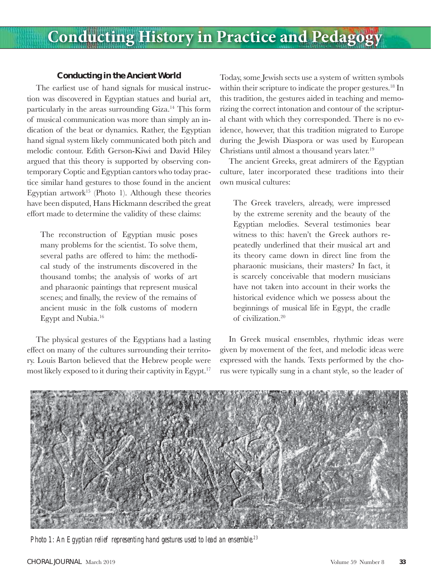### **Conducting in the Ancient World**

The earliest use of hand signals for musical instruction was discovered in Egyptian statues and burial art, particularly in the areas surrounding Giza.14 This form of musical communication was more than simply an indication of the beat or dynamics. Rather, the Egyptian hand signal system likely communicated both pitch and melodic contour. Edith Gerson-Kiwi and David Hiley argued that this theory is supported by observing contemporary Coptic and Egyptian cantors who today practice similar hand gestures to those found in the ancient Egyptian artwork<sup>15</sup> (Photo 1). Although these theories have been disputed, Hans Hickmann described the great effort made to determine the validity of these claims:

The reconstruction of Egyptian music poses many problems for the scientist. To solve them, several paths are offered to him: the methodical study of the instruments discovered in the thousand tombs; the analysis of works of art and pharaonic paintings that represent musical scenes; and finally, the review of the remains of ancient music in the folk customs of modern Egypt and Nubia.16

The physical gestures of the Egyptians had a lasting effect on many of the cultures surrounding their territory. Louis Barton believed that the Hebrew people were most likely exposed to it during their captivity in Egypt.<sup>17</sup>

Today, some Jewish sects use a system of written symbols within their scripture to indicate the proper gestures.<sup>18</sup> In this tradition, the gestures aided in teaching and memorizing the correct intonation and contour of the scriptural chant with which they corresponded. There is no evidence, however, that this tradition migrated to Europe during the Jewish Diaspora or was used by European Christians until almost a thousand years later.<sup>19</sup>

The ancient Greeks, great admirers of the Egyptian culture, later incorporated these traditions into their own musical cultures:

The Greek travelers, already, were impressed by the extreme serenity and the beauty of the Egyptian melodies. Several testimonies bear witness to this: haven't the Greek authors repeatedly underlined that their musical art and its theory came down in direct line from the pharaonic musicians, their masters? In fact, it is scarcely conceivable that modern musicians have not taken into account in their works the historical evidence which we possess about the beginnings of musical life in Egypt, the cradle of civilization.20

In Greek musical ensembles, rhythmic ideas were given by movement of the feet, and melodic ideas were expressed with the hands. Texts performed by the chorus were typically sung in a chant style, so the leader of



*Photo 1: An Egyptian relief representing hand gestures used to lead an ensemble.23*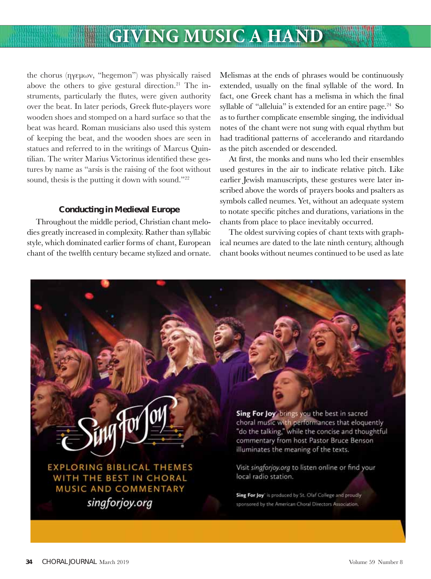## **GIVING MUSIC A HAND**

the chorus (ηγεμων, "hegemon") was physically raised above the others to give gestural direction. $21$  The instruments, particularly the flutes, were given authority over the beat. In later periods, Greek flute-players wore wooden shoes and stomped on a hard surface so that the beat was heard. Roman musicians also used this system of keeping the beat, and the wooden shoes are seen in statues and referred to in the writings of Marcus Quintilian. The writer Marius Victorinus identified these gestures by name as "arsis is the raising of the foot without sound, thesis is the putting it down with sound."<sup>22</sup>

#### **Conducting in Medieval Europe**

Throughout the middle period, Christian chant melodies greatly increased in complexity. Rather than syllabic style, which dominated earlier forms of chant, European chant of the twelfth century became stylized and ornate.

Melismas at the ends of phrases would be continuously extended, usually on the final syllable of the word. In fact, one Greek chant has a melisma in which the final syllable of "alleluia" is extended for an entire page. $24$  So as to further complicate ensemble singing, the individual notes of the chant were not sung with equal rhythm but had traditional patterns of accelerando and ritardando as the pitch ascended or descended.

At first, the monks and nuns who led their ensembles used gestures in the air to indicate relative pitch. Like earlier Jewish manuscripts, these gestures were later inscribed above the words of prayers books and psalters as symbols called neumes. Yet, without an adequate system to notate specific pitches and durations, variations in the chants from place to place inevitably occurred.

The oldest surviving copies of chant texts with graphical neumes are dated to the late ninth century, although chant books without neumes continued to be used as late

**EXPLORING BIBLICAL THEMES** WITH THE BEST IN CHORAL MUSIC AND COMMENTARY singforjoy.org

Sing For Joy brings you the best in sacred choral music with performances that eloquently "do the talking," while the concise and thoughtful commentary from host Pastor Bruce Benson illuminates the meaning of the texts.

Visit singforjoy.org to listen online or find your local radio station.

Sing For Joy<sup>®</sup> is produced by St. Olaf College and proudly sponsored by the American Choral Directors Association.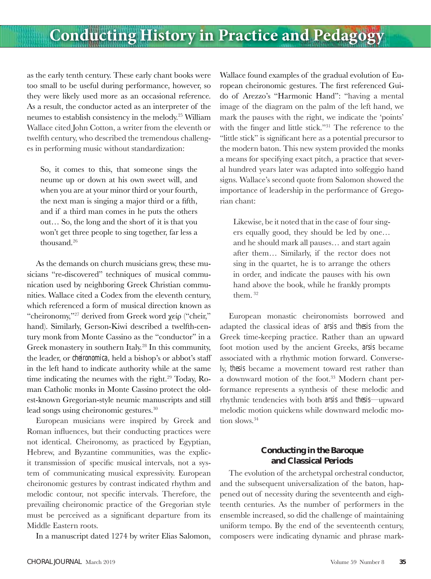### **Conducting History in Practice and Pedagogy**

as the early tenth century. These early chant books were too small to be useful during performance, however, so they were likely used more as an occasional reference. As a result, the conductor acted as an interpreter of the neumes to establish consistency in the melody.25 William Wallace cited John Cotton, a writer from the eleventh or twelfth century, who described the tremendous challenges in performing music without standardization:

So, it comes to this, that someone sings the neume up or down at his own sweet will, and when you are at your minor third or your fourth, the next man is singing a major third or a fifth, and if a third man comes in he puts the others out… So, the long and the short of it is that you won't get three people to sing together, far less a thousand.<sup>26</sup>

As the demands on church musicians grew, these musicians "re-discovered" techniques of musical communication used by neighboring Greek Christian communities. Wallace cited a Codex from the eleventh century, which referenced a form of musical direction known as "cheironomy,"27 derived from Greek word χείρ ("cheir," hand). Similarly, Gerson-Kiwi described a twelfth-century monk from Monte Cassino as the "conductor" in a Greek monastery in southern Italy.<sup>28</sup> In this community, the leader, or *cheironomica,* held a bishop's or abbot's staff in the left hand to indicate authority while at the same time indicating the neumes with the right.<sup>29</sup> Today, Roman Catholic monks in Monte Cassino protect the oldest-known Gregorian-style neumic manuscripts and still lead songs using cheironomic gestures.30

European musicians were inspired by Greek and Roman influences, but their conducting practices were not identical. Cheironomy, as practiced by Egyptian, Hebrew, and Byzantine communities, was the explicit transmission of specific musical intervals, not a system of communicating musical expressivity. European cheironomic gestures by contrast indicated rhythm and melodic contour, not specific intervals. Therefore, the prevailing cheironomic practice of the Gregorian style must be perceived as a significant departure from its Middle Eastern roots.

In a manuscript dated 1274 by writer Elias Salomon,

Wallace found examples of the gradual evolution of European cheironomic gestures. The first referenced Guido of Arezzo's "Harmonic Hand": "having a mental image of the diagram on the palm of the left hand, we mark the pauses with the right, we indicate the 'points' with the finger and little stick."<sup>31</sup> The reference to the "little stick" is significant here as a potential precursor to the modern baton. This new system provided the monks a means for specifying exact pitch, a practice that several hundred years later was adapted into solfeggio hand signs. Wallace's second quote from Salomon showed the importance of leadership in the performance of Gregorian chant:

Likewise, be it noted that in the case of four singers equally good, they should be led by one… and he should mark all pauses… and start again after them… Similarly, if the rector does not sing in the quartet, he is to arrange the others in order, and indicate the pauses with his own hand above the book, while he frankly prompts them. 32

European monastic cheironomists borrowed and adapted the classical ideas of *arsis* and *thesis* from the Greek time-keeping practice. Rather than an upward foot motion used by the ancient Greeks, *arsis* became associated with a rhythmic motion forward. Conversely, *thesis* became a movement toward rest rather than a downward motion of the foot.<sup>33</sup> Modern chant performance represents a synthesis of these melodic and rhythmic tendencies with both *arsis* and *thesis*—upward melodic motion quickens while downward melodic motion slows.<sup>34</sup>

### **Conducting in the Baroque and Classical Periods**

The evolution of the archetypal orchestral conductor, and the subsequent universalization of the baton, happened out of necessity during the seventeenth and eighteenth centuries. As the number of performers in the ensemble increased, so did the challenge of maintaining uniform tempo. By the end of the seventeenth century, composers were indicating dynamic and phrase mark-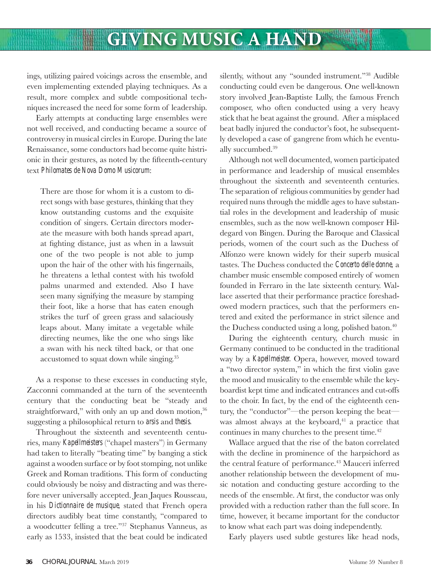ings, utilizing paired voicings across the ensemble, and even implementing extended playing techniques. As a result, more complex and subtle compositional techniques increased the need for some form of leadership.

Early attempts at conducting large ensembles were not well received, and conducting became a source of controversy in musical circles in Europe. During the late Renaissance, some conductors had become quite histrionic in their gestures, as noted by the fifteenth-century text *Philomates de Nova Domo Musicorum*:

There are those for whom it is a custom to direct songs with base gestures, thinking that they know outstanding customs and the exquisite condition of singers. Certain directors moderate the measure with both hands spread apart, at fighting distance, just as when in a lawsuit one of the two people is not able to jump upon the hair of the other with his fingernails, he threatens a lethal contest with his twofold palms unarmed and extended. Also I have seen many signifying the measure by stamping their foot, like a horse that has eaten enough strikes the turf of green grass and salaciously leaps about. Many imitate a vegetable while directing neumes, like the one who sings like a swan with his neck tilted back, or that one accustomed to squat down while singing.<sup>35</sup>

As a response to these excesses in conducting style, Zacconni commanded at the turn of the seventeenth century that the conducting beat be "steady and straightforward," with only an up and down motion,<sup>36</sup> suggesting a philosophical return to *arsis* and *thesis.*

Throughout the sixteenth and seventeenth centuries, many *Kapellmeisters* ("chapel masters") in Germany had taken to literally "beating time" by banging a stick against a wooden surface or by foot stomping, not unlike Greek and Roman traditions. This form of conducting could obviously be noisy and distracting and was therefore never universally accepted. Jean Jaques Rousseau, in his *Dictionnaire de musique,* stated that French opera directors audibly beat time constantly, "compared to a woodcutter felling a tree."37 Stephanus Vanneus, as early as 1533, insisted that the beat could be indicated

silently, without any "sounded instrument."<sup>38</sup> Audible conducting could even be dangerous. One well-known story involved Jean-Baptiste Lully, the famous French composer, who often conducted using a very heavy stick that he beat against the ground. After a misplaced beat badly injured the conductor's foot, he subsequently developed a case of gangrene from which he eventually succumbed.39

Although not well documented, women participated in performance and leadership of musical ensembles throughout the sixteenth and seventeenth centuries. The separation of religious communities by gender had required nuns through the middle ages to have substantial roles in the development and leadership of music ensembles, such as the now well-known composer Hildegard von Bingen. During the Baroque and Classical periods, women of the court such as the Duchess of Alfonzo were known widely for their superb musical tastes. The Duchess conducted the *Concerto delle donne,* a chamber music ensemble composed entirely of women founded in Ferraro in the late sixteenth century. Wallace asserted that their performance practice foreshadowed modern practices, such that the performers entered and exited the performance in strict silence and the Duchess conducted using a long, polished baton.<sup>40</sup>

During the eighteenth century, church music in Germany continued to be conducted in the traditional way by a *Kapellmeister.* Opera, however, moved toward a "two director system," in which the first violin gave the mood and musicality to the ensemble while the keyboardist kept time and indicated entrances and cut-offs to the choir. In fact, by the end of the eighteenth century, the "conductor"—the person keeping the beat was almost always at the keyboard, $41$  a practice that continues in many churches to the present time.<sup>42</sup>

Wallace argued that the rise of the baton correlated with the decline in prominence of the harpsichord as the central feature of performance.<sup>43</sup> Mauceri inferred another relationship between the development of music notation and conducting gesture according to the needs of the ensemble. At first, the conductor was only provided with a reduction rather than the full score. In time, however, it became important for the conductor to know what each part was doing independently.

Early players used subtle gestures like head nods,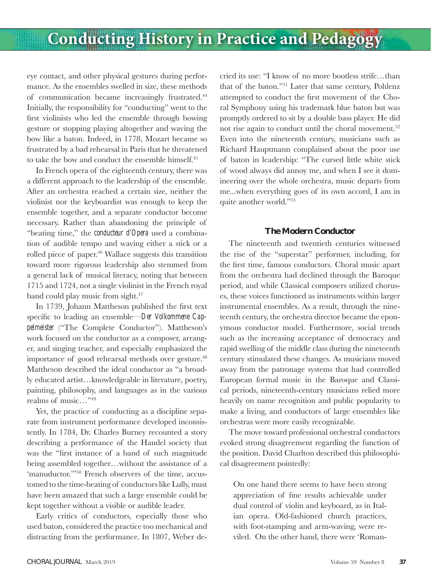eye contact, and other physical gestures during performance. As the ensembles swelled in size, these methods of communication became increasingly frustrated.<sup>44</sup> Initially, the responsibility for "conducting" went to the first violinists who led the ensemble through bowing gesture or stopping playing altogether and waving the bow like a baton. Indeed, in 1778, Mozart became so frustrated by a bad rehearsal in Paris that he threatened to take the bow and conduct the ensemble himself.<sup>45</sup>

In French opera of the eighteenth century, there was a different approach to the leadership of the ensemble. After an orchestra reached a certain size, neither the violinist nor the keyboardist was enough to keep the ensemble together, and a separate conductor become necessary. Rather than abandoning the principle of "beating time," the *conducteur d'Opera* used a combination of audible tempo and waving either a stick or a rolled piece of paper.<sup>46</sup> Wallace suggests this transition toward more rigorous leadership also stemmed from a general lack of musical literacy, noting that between 1715 and 1724, not a single violinist in the French royal band could play music from sight.<sup>47</sup>

In 1739, Johann Mattheson published the first text specific to leading an ensemble—*Der Volkommene Cappelmeister* ("The Complete Conductor"). Mattheson's work focused on the conductor as a composer, arranger, and singing teacher, and especially emphasized the importance of good rehearsal methods over gesture.<sup>48</sup> Mattheson described the ideal conductor as "a broadly educated artist…knowledgeable in literature, poetry, painting, philosophy, and languages as in the various realms of music…"49

Yet, the practice of conducting as a discipline separate from instrument performance developed inconsistently. In 1784, Dr. Charles Burney recounted a story describing a performance of the Handel society that was the "first instance of a band of such magnitude being assembled together…without the assistance of a 'manuductor."<sup>50</sup> French observers of the time, accustomed to the time-beating of conductors like Lully, must have been amazed that such a large ensemble could be kept together without a visible or audible leader.

Early critics of conductors, especially those who used baton, considered the practice too mechanical and distracting from the performance. In 1807, Weber de-

cried its use: "I know of no more bootless strife…than that of the baton."51 Later that same century, Pohlenz attempted to conduct the first movement of the Choral Symphony using his trademark blue baton but was promptly ordered to sit by a double bass player. He did not rise again to conduct until the choral movement.<sup>52</sup> Even into the nineteenth century, musicians such as Richard Hauptmann complained about the poor use of baton in leadership: "The cursed little white stick of wood always did annoy me, and when I see it domineering over the whole orchestra, music departs from me...when everything goes of its own accord, I am in quite another world."53

#### **The Modern Conductor**

The nineteenth and twentieth centuries witnessed the rise of the "superstar" performer, including, for the first time, famous conductors. Choral music apart from the orchestra had declined through the Baroque period, and while Classical composers utilized choruses, these voices functioned as instruments within larger instrumental ensembles. As a result, through the nineteenth century, the orchestra director became the eponymous conductor model. Furthermore, social trends such as the increasing acceptance of democracy and rapid swelling of the middle class during the nineteenth century stimulated these changes. As musicians moved away from the patronage systems that had controlled European formal music in the Baroque and Classical periods, nineteenth-century musicians relied more heavily on name recognition and public popularity to make a living, and conductors of large ensembles like orchestras were more easily recognizable.

The move toward professional orchestral conductors evoked strong disagreement regarding the function of the position. David Charlton described this philosophical disagreement pointedly:

On one hand there seems to have been strong appreciation of fine results achievable under dual control of violin and keyboard, as in Italian opera. Old-fashioned church practices, with foot-stamping and arm-waving, were reviled. On the other hand, there were 'Roman-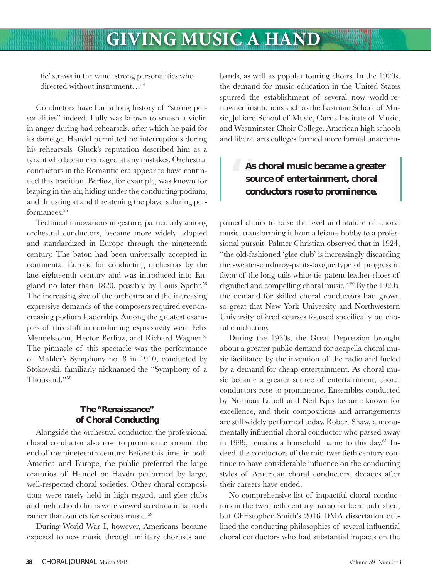### **GIVING MUSIC A HAND**

tic' straws in the wind: strong personalities who directed without instrument…54

Conductors have had a long history of "strong personalities" indeed. Lully was known to smash a violin in anger during bad rehearsals, after which he paid for its damage. Handel permitted no interruptions during his rehearsals. Gluck's reputation described him as a tyrant who became enraged at any mistakes. Orchestral conductors in the Romantic era appear to have continued this tradition. Berlioz, for example, was known for leaping in the air, hiding under the conducting podium, and thrusting at and threatening the players during performances.<sup>55</sup>

Technical innovations in gesture, particularly among orchestral conductors, became more widely adopted and standardized in Europe through the nineteenth century. The baton had been universally accepted in continental Europe for conducting orchestras by the late eighteenth century and was introduced into England no later than 1820, possibly by Louis Spohr.<sup>56</sup> The increasing size of the orchestra and the increasing expressive demands of the composers required ever-increasing podium leadership. Among the greatest examples of this shift in conducting expressivity were Felix Mendelssohn, Hector Berlioz, and Richard Wagner.<sup>57</sup> The pinnacle of this spectacle was the performance of Mahler's Symphony no. 8 in 1910, conducted by Stokowski, familiarly nicknamed the "Symphony of a Thousand."58

### **The "Renaissance" of Choral Conducting**

Alongside the orchestral conductor, the professional choral conductor also rose to prominence around the end of the nineteenth century. Before this time, in both America and Europe, the public preferred the large oratorios of Handel or Haydn performed by large, well-respected choral societies. Other choral compositions were rarely held in high regard, and glee clubs and high school choirs were viewed as educational tools rather than outlets for serious music. 59

During World War I, however, Americans became exposed to new music through military choruses and bands, as well as popular touring choirs. In the 1920s, the demand for music education in the United States spurred the establishment of several now world-renowned institutions such as the Eastman School of Music, Julliard School of Music, Curtis Institute of Music, and Westminster Choir College. American high schools and liberal arts colleges formed more formal unaccom-

### As<br>
so<br>
co **As choral music became a greater source of entertainment, choral conductors rose to prominence.**

panied choirs to raise the level and stature of choral music, transforming it from a leisure hobby to a professional pursuit. Palmer Christian observed that in 1924, "the old-fashioned 'glee club' is increasingly discarding the sweater-corduroy-pants-brogue type of progress in favor of the long-tails-white-tie-patent-leather-shoes of dignified and compelling choral music."<sup>60</sup> By the 1920s, the demand for skilled choral conductors had grown so great that New York University and Northwestern University offered courses focused specifically on choral conducting.

During the 1930s, the Great Depression brought about a greater public demand for acapella choral music facilitated by the invention of the radio and fueled by a demand for cheap entertainment. As choral music became a greater source of entertainment, choral conductors rose to prominence. Ensembles conducted by Norman Luboff and Neil Kjos became known for excellence, and their compositions and arrangements are still widely performed today. Robert Shaw, a monumentally influential choral conductor who passed away in 1999, remains a household name to this day.<sup>61</sup> Indeed, the conductors of the mid-twentieth century continue to have considerable influence on the conducting styles of American choral conductors, decades after their careers have ended.

No comprehensive list of impactful choral conductors in the twentieth century has so far been published, but Christopher Smith's 2016 DMA dissertation outlined the conducting philosophies of several influential choral conductors who had substantial impacts on the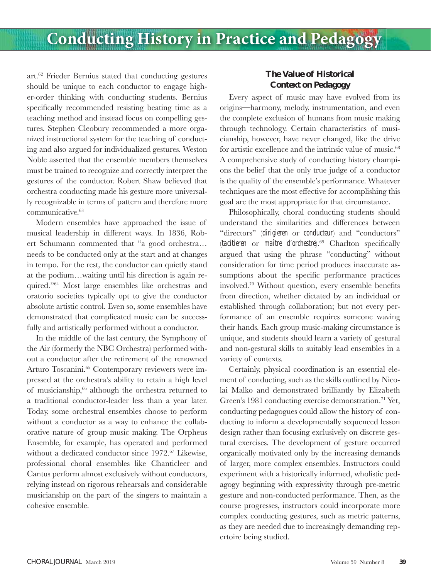art.62 Frieder Bernius stated that conducting gestures should be unique to each conductor to engage higher-order thinking with conducting students. Bernius specifically recommended resisting beating time as a teaching method and instead focus on compelling gestures. Stephen Cleobury recommended a more organized instructional system for the teaching of conducting and also argued for individualized gestures. Weston Noble asserted that the ensemble members themselves must be trained to recognize and correctly interpret the gestures of the conductor. Robert Shaw believed that orchestra conducting made his gesture more universally recognizable in terms of pattern and therefore more communicative.<sup>63</sup>

Modern ensembles have approached the issue of musical leadership in different ways. In 1836, Robert Schumann commented that "a good orchestra… needs to be conducted only at the start and at changes in tempo. For the rest, the conductor can quietly stand at the podium…waiting until his direction is again required."64 Most large ensembles like orchestras and oratorio societies typically opt to give the conductor absolute artistic control. Even so, some ensembles have demonstrated that complicated music can be successfully and artistically performed without a conductor.

In the middle of the last century, the Symphony of the Air (formerly the NBC Orchestra) performed without a conductor after the retirement of the renowned Arturo Toscanini.65 Contemporary reviewers were impressed at the orchestra's ability to retain a high level of musicianship,66 although the orchestra returned to a traditional conductor-leader less than a year later. Today, some orchestral ensembles choose to perform without a conductor as a way to enhance the collaborative nature of group music making. The Orpheus Ensemble, for example, has operated and performed without a dedicated conductor since 1972.<sup>67</sup> Likewise, professional choral ensembles like Chanticleer and Cantus perform almost exclusively without conductors, relying instead on rigorous rehearsals and considerable musicianship on the part of the singers to maintain a cohesive ensemble.

### **The Value of Historical Context on Pedagogy**

Every aspect of music may have evolved from its origins—harmony, melody, instrumentation, and even the complete exclusion of humans from music making through technology. Certain characteristics of musicianship, however, have never changed, like the drive for artistic excellence and the intrinsic value of music.<sup>68</sup> A comprehensive study of conducting history champions the belief that the only true judge of a conductor is the quality of the ensemble's performance. Whatever techniques are the most effective for accomplishing this goal are the most appropriate for that circumstance.

Philosophically, choral conducting students should understand the similarities and differences between "directors" (*dirigieren* or *conducteur*) and "conductors" (*tacitieren* or *maître d'orchestre*).<sup>69</sup> Charlton specifically argued that using the phrase "conducting" without consideration for time period produces inaccurate assumptions about the specific performance practices involved.<sup>70</sup> Without question, every ensemble benefits from direction, whether dictated by an individual or established through collaboration; but not every performance of an ensemble requires someone waving their hands. Each group music-making circumstance is unique, and students should learn a variety of gestural and non-gestural skills to suitably lead ensembles in a variety of contexts.

Certainly, physical coordination is an essential element of conducting, such as the skills outlined by Nicolai Malko and demonstrated brilliantly by Elizabeth Green's 1981 conducting exercise demonstration.<sup>71</sup> Yet, conducting pedagogues could allow the history of conducting to inform a developmentally sequenced lesson design rather than focusing exclusively on discrete gestural exercises. The development of gesture occurred organically motivated only by the increasing demands of larger, more complex ensembles. Instructors could experiment with a historically informed, wholistic pedagogy beginning with expressivity through pre-metric gesture and non-conducted performance. Then, as the course progresses, instructors could incorporate more complex conducting gestures, such as metric patterns, as they are needed due to increasingly demanding repertoire being studied.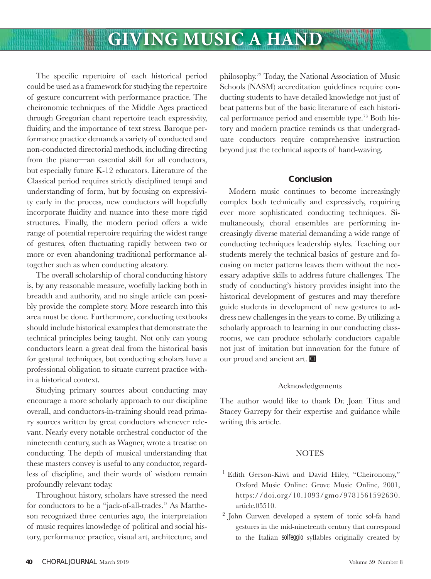The specific repertoire of each historical period could be used as a framework for studying the repertoire of gesture concurrent with performance practice. The cheironomic techniques of the Middle Ages practiced through Gregorian chant repertoire teach expressivity, fluidity, and the importance of text stress. Baroque performance practice demands a variety of conducted and non-conducted directorial methods, including directing from the piano—an essential skill for all conductors, but especially future K-12 educators. Literature of the Classical period requires strictly disciplined tempi and understanding of form, but by focusing on expressivity early in the process, new conductors will hopefully incorporate fluidity and nuance into these more rigid structures. Finally, the modern period offers a wide range of potential repertoire requiring the widest range of gestures, often fluctuating rapidly between two or more or even abandoning traditional performance altogether such as when conducting aleatory.

The overall scholarship of choral conducting history is, by any reasonable measure, woefully lacking both in breadth and authority, and no single article can possibly provide the complete story. More research into this area must be done. Furthermore, conducting textbooks should include historical examples that demonstrate the technical principles being taught. Not only can young conductors learn a great deal from the historical basis for gestural techniques, but conducting scholars have a professional obligation to situate current practice within a historical context.

Studying primary sources about conducting may encourage a more scholarly approach to our discipline overall, and conductors-in-training should read primary sources written by great conductors whenever relevant. Nearly every notable orchestral conductor of the nineteenth century, such as Wagner, wrote a treatise on conducting. The depth of musical understanding that these masters convey is useful to any conductor, regardless of discipline, and their words of wisdom remain profoundly relevant today.

Throughout history, scholars have stressed the need for conductors to be a "jack-of-all-trades." As Mattheson recognized three centuries ago, the interpretation of music requires knowledge of political and social history, performance practice, visual art, architecture, and

philosophy.72 Today, the National Association of Music Schools (NASM) accreditation guidelines require conducting students to have detailed knowledge not just of beat patterns but of the basic literature of each historical performance period and ensemble type.73 Both history and modern practice reminds us that undergraduate conductors require comprehensive instruction beyond just the technical aspects of hand-waving.

#### **Conclusion**

Modern music continues to become increasingly complex both technically and expressively, requiring ever more sophisticated conducting techniques. Simultaneously, choral ensembles are performing increasingly diverse material demanding a wide range of conducting techniques leadership styles. Teaching our students merely the technical basics of gesture and focusing on meter patterns leaves them without the necessary adaptive skills to address future challenges. The study of conducting's history provides insight into the historical development of gestures and may therefore guide students in development of new gestures to address new challenges in the years to come. By utilizing a scholarly approach to learning in our conducting classrooms, we can produce scholarly conductors capable not just of imitation but innovation for the future of our proud and ancient art.  $\Box$ 

#### Acknowledgements

The author would like to thank Dr. Joan Titus and Stacey Garrepy for their expertise and guidance while writing this article.

### NOTES

- <sup>1</sup> Edith Gerson-Kiwi and David Hiley, "Cheironomy," Oxford Music Online: Grove Music Online, 2001, https://doi.org/10.1093/gmo/9781561592630. article.05510.
- 2 John Curwen developed a system of tonic sol-fa hand gestures in the mid-nineteenth century that correspond to the Italian *solfeggio* syllables originally created by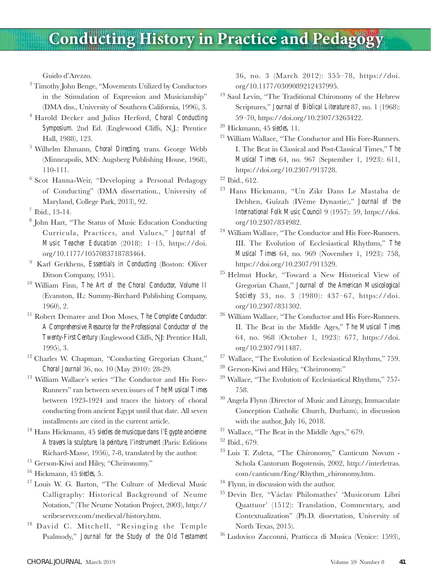Guido d'Arezzo.

- 3 Timothy John Benge, "Movements Utilized by Conductors in the Stimulation of Expression and Musicianship" (DMA diss., University of Southern California, 1996), 3.
- 4 Harold Decker and Julius Herford, *Choral Conducting*  Symposium. 2nd Ed. (Englewood Cliffs, N.J.: Prentice Hall, 1988), 123.
- 5 Wilhelm Ehmann, *Choral Directing,* trans. George Webb (Minneapolis, MN: Augsberg Publishing House, 1968), 110-111.
- 6 Scot Hanna-Weir, "Developing a Personal Pedagogy of Conducting" (DMA dissertation., University of Maryland, College Park, 2013), 92.
- 7 Ibid., 13-14.
- 8 John Hart, "The Status of Music Education Conducting Curricula, Practices, and Values," *Journal of Music Teacher Education* (2018): 1–15, https://doi. org/10.1177/1057083718783464.
- 9 Karl Gerkhens, *Essentials in Conducting* (Boston: Oliver Ditson Company, 1951).
- 10 William Finn, *The Art of the Choral Conductor, Volume II* (Evanston, IL: Summy-Birchard Publishing Company, 1960), 2.
- 11 Robert Demaree and Don Moses, *The Complete Conductor: A Comprehensive Resource for the Professional Conductor of the Twenty-First Century* (Englewood Cliffs, NJ: Prentice Hall, 1995), 3.
- <sup>12</sup> Charles W. Chapman, "Conducting Gregorian Chant," *Choral Journal* 36, no. 10 (May 2010): 28-29.
- 13 William Wallace's series "The Conductor and His Fore-Runners" ran between seven issues of *The Musical Times*  between 1923-1924 and traces the history of choral conducting from ancient Egypt until that date. All seven installments are cited in the current article.
- 14 Hans Hickmann, 45 *siecles de musicque dans l'Egypte ancienne: A travers la sculpture, la peinture, l'instrument* (Paris: Editions Richard-Masse, 1956), 7-8, translated by the author.
- <sup>15</sup> Gerson-Kiwi and Hiley, "Cheironomy."
- 16 Hickmann, 45 *siecles,* 5.
- <sup>17</sup> Louis W. G. Barton, "The Culture of Medieval Music Calligraphy: Historical Background of Neume Notation," (The Neume Notation Project, 2003), http:// scribeserver.com/medieval/history.htm.
- 18 David C. Mitchell, "Resinging the Temple Psalmody," *Journal for the Study of the Old Testament*

36, no. 3 (March 2012): 355–78, https://doi. org/10.1177/0309089212437995.

- 19 Saul Levin, "The Traditional Chironomy of the Hebrew Scriptures," *Journal of Biblical Literature* 87, no. 1 (1968): 59–70, https://doi.org/10.2307/3263422.
- 20 Hickmann, 45 *siecles,* 11.
- <sup>21</sup> William Wallace, "The Conductor and His Fore-Runners. I. The Beat in Classical and Post-Classical Times," *The Musical Times* 64, no. 967 (September 1, 1923): 611, https://doi.org/10.2307/913728.

- 23 Hans Hickmann, "Un Zikr Dans Le Mastaba de Debhen, Guîzah (IVème Dynastie)," *Journal of the International Folk Music Council* 9 (1957): 59, https://doi. org/10.2307/834982.
- <sup>24</sup> William Wallace, "The Conductor and His Fore-Runners. III. The Evolution of Ecclesiastical Rhythms," *The Musical Times* 64, no. 969 (November 1, 1923): 758, https://doi.org/10.2307/911529.
- 25 Helmut Hucke, "Toward a New Historical View of Gregorian Chant," *Journal of the American Musicological Society* 33, no. 3 (1980): 437–67, https://doi. org/10.2307/831302.
- 26 William Wallace, "The Conductor and His Fore-Runners. II. The Beat in the Middle Ages," *The Musical Times* 64, no. 968 (October 1, 1923): 677, https://doi. org/10.2307/911487.
- <sup>27</sup> Wallace, "The Evolution of Ecclesiastical Rhythms," 759.
- 28 Gerson-Kiwi and Hiley, "Cheironomy."
- 29 Wallace, "The Evolution of Ecclesiastical Rhythms," 757- 758.
- 30 Angela Flynn (Director of Music and Liturgy, Immaculate Conception Catholic Church, Durham), in discussion with the author, July 16, 2018.
- <sup>31</sup> Wallace, "The Beat in the Middle Ages," 679.
- 32 Ibid., 679.
- 33 Luis T. Zuleta, "The Chironomy," Canticum Novum Schola Cantorum Bogotensis, 2002, http://interletras. com/canticum/Eng/Rhythm\_chironomy.htm.
- <sup>34</sup> Flynn, in discussion with the author.
- 35 Devin Iler, "Václav Philomathes' 'Musicorum Libri Quattuor' (1512): Translation, Commentary, and Contextualization" (Ph.D. dissertation, University of North Texas, 2015).
- 36 Ludovico Zacconni, Pratticca di Musica (Venice: 1593),

 $22$  Ibid., 612.